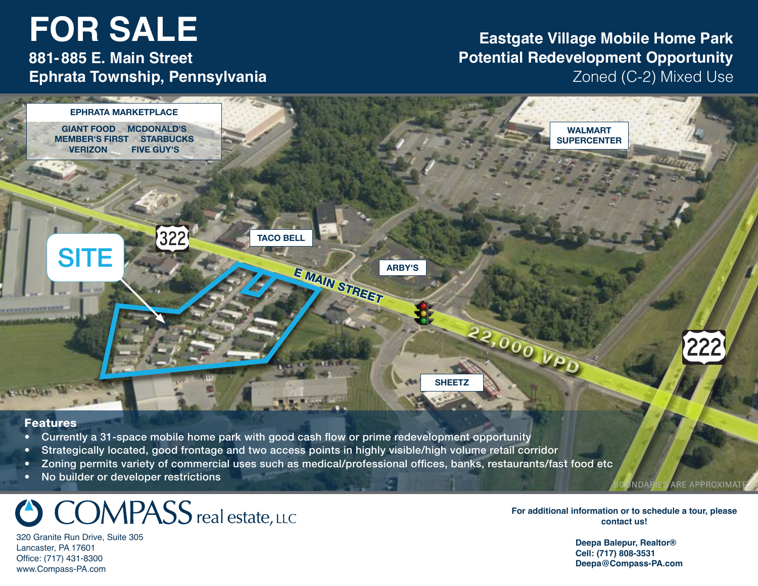# **FOR SALE 2220 Dairy Road Project Summary**

**East Hempfield Township 881-885 E. Main Street Ephrata Township, Pennsylvania**

### **Eastgate Village Mobile Home Park Potential Redevelopment Opportunity** Zoned (C-2) Mixed Use



#### Features

- Currently a 31-space mobile home park with good cash flow or prime redevelopment opportunity
- Strategically located, good frontage and two access points in highly visible/high volume retail corridor
- Zoning permits variety of commercial uses such as medical/professional offices, banks, restaurants/fast food etc
- No builder or developer restrictions

# **COMPASS** real estate, LLC

320 Granite Run Drive, Suite 305 Lancaster, PA 17601 Office: (717) 431-8300 www.Compass-PA.com

**For additional information or to schedule a tour, please contact us!**

UNDARIES ARE APPROXIMAT

 **Deepa Balepur, Realtor® Cell: (717) 808-3531 Deepa@Compass-PA.com**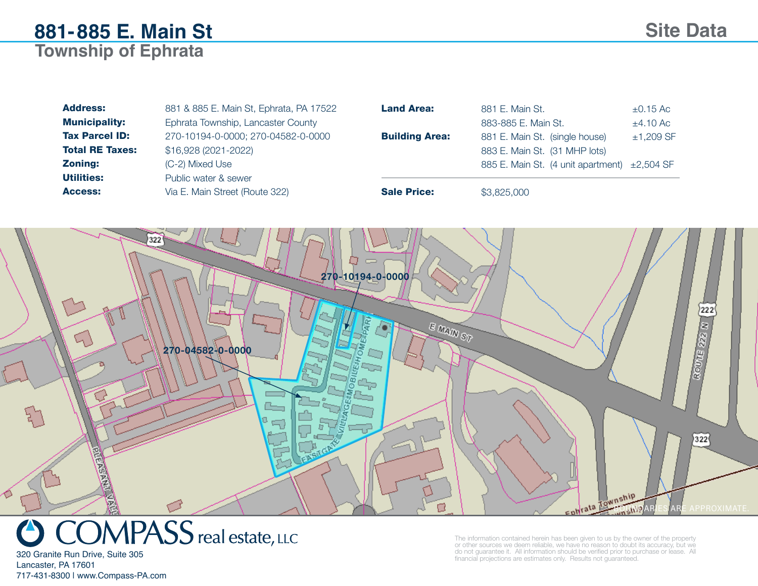| <b>Address:</b>        | 881 & 885 E. Main St, Ephrata, PA 17522 | <b>Land Area:</b>     | 881 E. Main St.                               | $\pm 0.15$ Ac |
|------------------------|-----------------------------------------|-----------------------|-----------------------------------------------|---------------|
| <b>Municipality:</b>   | Ephrata Township, Lancaster County      |                       | 883-885 E. Main St.                           | $\pm 4.10$ Ac |
| <b>Tax Parcel ID:</b>  | 270-10194-0-0000; 270-04582-0-0000      | <b>Building Area:</b> | 881 E. Main St. (single house)                | $±1,209$ SF   |
| <b>Total RE Taxes:</b> | \$16,928 (2021-2022)                    |                       | 883 E. Main St. (31 MHP lots)                 |               |
| <b>Zoning:</b>         | (C-2) Mixed Use                         |                       | 885 E. Main St. (4 unit apartment) ± 2,504 SF |               |
| <b>Utilities:</b>      | Public water & sewer                    |                       |                                               |               |
| Access:                | Via E. Main Street (Route 322)          | <b>Sale Price:</b>    | \$3,825,000                                   |               |





The information contained herein has been given to us by the owner of the property or other sources we deem reliable, we have no reason to doubt its accuracy, but we do not guarantee it. All information should be verified prior to purchase or lease. All financial projections are estimates only. Results not guaranteed.

Lancaster, PA 17601 717-431-8300 | www.Compass-PA.com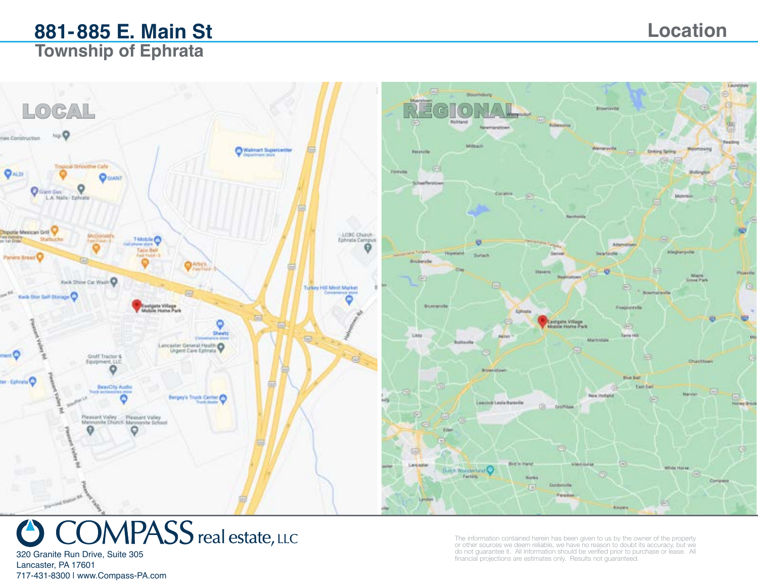

# $OMPASS$  real estate, LLC

320 Granite Run Drive, Suite 305 Lancaster, PA 17601 717-431-8300 | www.Compass-PA.com The information contained herein has been given to us by the owner of the property or other sources we deem reliable, we have no reason to doubt its accuracy, but we do not guarantee it. All information should be verified prior to purchase or lease. All financial projections are estimates only. Results not guaranteed.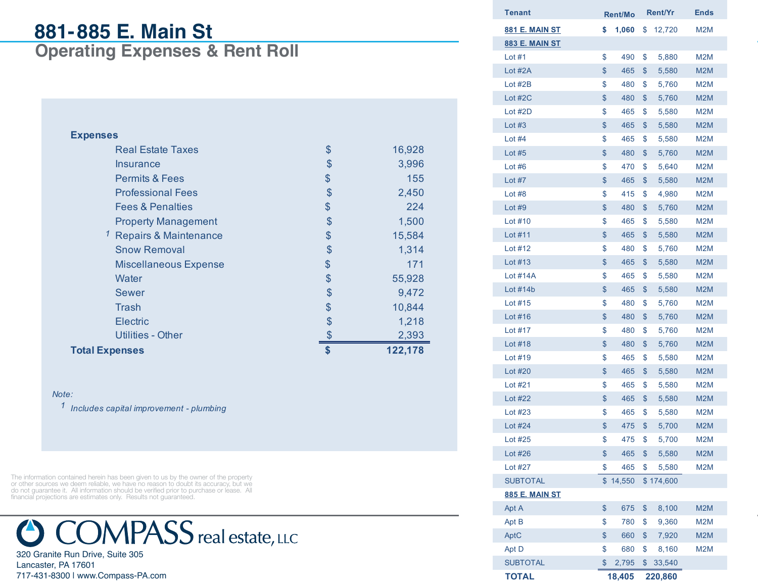# **881-885 E. Main St**

**Operating Expenses & Rent Roll**

| <b>Expenses</b>                    |              |
|------------------------------------|--------------|
| <b>Real Estate Taxes</b>           | \$<br>16,928 |
| Insurance                          | \$<br>3,996  |
| <b>Permits &amp; Fees</b>          | \$<br>155    |
| <b>Professional Fees</b>           | \$<br>2,450  |
| <b>Fees &amp; Penalties</b>        | \$<br>224    |
| <b>Property Management</b>         | \$<br>1,500  |
| <sup>1</sup> Repairs & Maintenance | \$<br>15,584 |
| <b>Snow Removal</b>                | \$<br>1,314  |
| <b>Miscellaneous Expense</b>       | \$<br>171    |
| Water                              | \$<br>55,928 |
| <b>Sewer</b>                       | \$<br>9,472  |
| Trash                              | \$<br>10,844 |
| Electric                           | \$<br>1,218  |
| Utilities - Other                  | 2,393        |
| <b>Total Expenses</b>              | 122,178      |

#### *Note:*

*1 Includes capital improvement - plumbing*

The information contained herein has been given to us by the owner of the property or other sources we deem reliable, we have no reason to doubt its accuracy, but we do not guarantee it. All information should be verified prior to purchase or lease. All financial projections are estimates only. Results not guaranteed.



320 Granite Run Drive, Suite 305 Lancaster, PA 17601 717-431-8300 | www.Compass-PA.com

| Tenant                | <b>Rent/Mo</b> | <b>Rent/Yr</b> | Ends             |
|-----------------------|----------------|----------------|------------------|
| <u>881 E. MAIN ST</u> | \$<br>1,060    | \$<br>12,720   | M <sub>2</sub> M |
| <b>883 E. MAIN ST</b> |                |                |                  |
| Lot $#1$              | \$<br>490      | \$<br>5,880    | M <sub>2</sub> M |
| Lot #2A               | \$<br>465      | \$<br>5,580    | M <sub>2</sub> M |
| Lot $#2B$             | \$<br>480      | \$<br>5,760    | M2M              |
| Lot $#2C$             | \$<br>480      | \$<br>5,760    | M <sub>2</sub> M |
| Lot #2D               | \$<br>465      | \$<br>5,580    | M2M              |
| Lot $#3$              | \$<br>465      | \$<br>5,580    | M2M              |
| Lot $#4$              | \$<br>465      | \$<br>5,580    | M2M              |
| Lot $#5$              | \$<br>480      | \$<br>5,760    | M2M              |
| Lot $#6$              | \$<br>470      | \$<br>5,640    | M2M              |
| Lot $#7$              | \$<br>465      | \$<br>5,580    | M2M              |
| Lot #8                | \$<br>415      | \$<br>4,980    | M <sub>2</sub> M |
| Lot $#9$              | \$<br>480      | \$<br>5,760    | M <sub>2</sub> M |
| Lot $#10$             | \$<br>465      | \$<br>5,580    | M2M              |
| Lot #11               | \$<br>465      | \$<br>5,580    | M <sub>2</sub> M |
| Lot $#12$             | \$<br>480      | \$<br>5,760    | M2M              |
| Lot #13               | \$<br>465      | \$<br>5,580    | M <sub>2</sub> M |
| <b>Lot #14A</b>       | \$<br>465      | \$<br>5,580    | M2M              |
| Lot $#14b$            | \$<br>465      | \$<br>5,580    | M <sub>2</sub> M |
| Lot #15               | \$<br>480      | \$<br>5,760    | M2M              |
| Lot #16               | \$<br>480      | \$<br>5,760    | M <sub>2</sub> M |
| Lot #17               | \$<br>480      | \$<br>5,760    | M <sub>2</sub> M |
| Lot #18               | \$<br>480      | \$<br>5,760    | M <sub>2</sub> M |
| Lot $#19$             | \$<br>465      | \$<br>5,580    | M2M              |
| Lot #20               | \$<br>465      | \$<br>5,580    | M2M              |
| Lot #21               | \$<br>465      | \$<br>5,580    | M2M              |
| Lot #22               | \$<br>465      | \$<br>5,580    | M2M              |
| Lot #23               | \$<br>465      | \$<br>5,580    | M2M              |
| Lot #24               | \$<br>475      | \$<br>5,700    | M <sub>2</sub> M |
| Lot #25               | \$<br>475      | \$<br>5,700    | M2M              |
| Lot #26               | \$<br>465      | \$<br>5,580    | M2M              |
| Lot #27               | \$<br>465      | \$<br>5,580    | M2M              |
| <b>SUBTOTAL</b>       | \$14,550       | \$174,600      |                  |
| <b>885 E. MAIN ST</b> |                |                |                  |
| Apt A                 | \$<br>675      | \$<br>8,100    | M2M              |
| Apt B                 | \$<br>780      | \$<br>9,360    | M2M              |
| AptC                  | \$<br>660      | \$<br>7,920    | M2M              |
| Apt D                 | \$<br>680      | \$<br>8,160    | M <sub>2</sub> M |
| <b>SUBTOTAL</b>       | \$<br>2,795    | \$<br>33,540   |                  |
| <b>TOTAL</b>          | 18,405         | 220,860        |                  |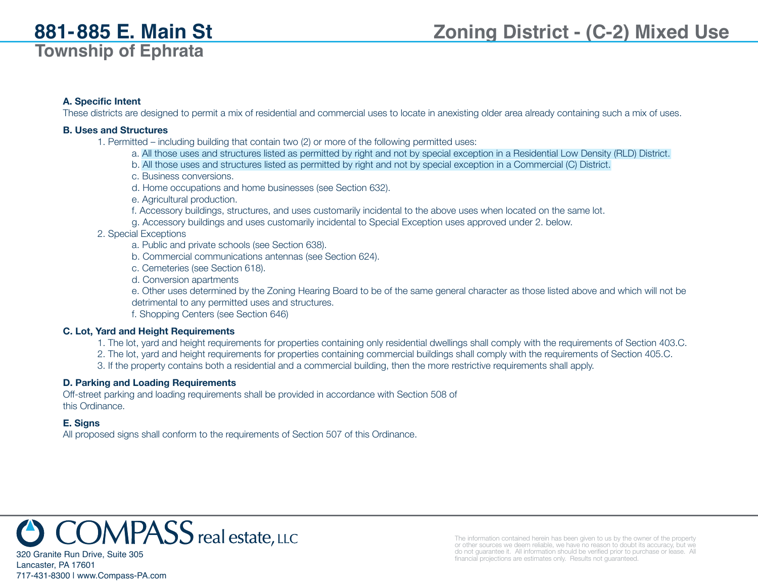#### **A. Specific Intent**

These districts are designed to permit a mix of residential and commercial uses to locate in anexisting older area already containing such a mix of uses.

#### **B. Uses and Structures**

- 1. Permitted including building that contain two (2) or more of the following permitted uses:
	- a. All those uses and structures listed as permitted by right and not by special exception in a Residential Low Density (RLD) District.
	- b. All those uses and structures listed as permitted by right and not by special exception in a Commercial (C) District.
	- c. Business conversions.
	- d. Home occupations and home businesses (see Section 632).
	- e. Agricultural production.
	- f. Accessory buildings, structures, and uses customarily incidental to the above uses when located on the same lot.
	- g. Accessory buildings and uses customarily incidental to Special Exception uses approved under 2. below.

#### 2. Special Exceptions

- a. Public and private schools (see Section 638).
- b. Commercial communications antennas (see Section 624).
- c. Cemeteries (see Section 618).
- d. Conversion apartments
- e. Other uses determined by the Zoning Hearing Board to be of the same general character as those listed above and which will not be detrimental to any permitted uses and structures.
- f. Shopping Centers (see Section 646)

#### **C. Lot, Yard and Height Requirements**

- 1. The lot, yard and height requirements for properties containing only residential dwellings shall comply with the requirements of Section 403.C.
- 2. The lot, yard and height requirements for properties containing commercial buildings shall comply with the requirements of Section 405.C.
- 3. If the property contains both a residential and a commercial building, then the more restrictive requirements shall apply.

#### **D. Parking and Loading Requirements**

Off-street parking and loading requirements shall be provided in accordance with Section 508 of this Ordinance.

#### **E. Signs**

Lancaster, PA 17601

717-431-8300 | www.Compass-PA.com

All proposed signs shall conform to the requirements of Section 507 of this Ordinance.



The information contained herein has been given to us by the owner of the property or other sources we deem reliable, we have no reason to doubt its accuracy, but we do not guarantee it. All information should be verified prior to purchase or lease. All financial projections are estimates only. Results not guaranteed.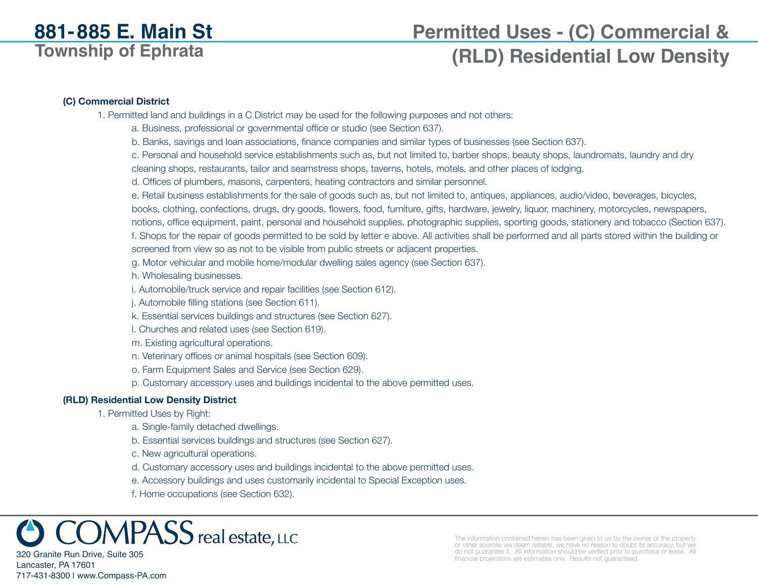# **Permitted Uses - (C) Commercial &**

# **(RLD) Residential Low Density**

#### **(C) Commercial District**

1. Permitted land and buildings in a C District may be used for the following purposes and not others:

a. Business, professional or governmental office or studio (see Section 637).

b. Banks, savings and loan associations, finance companies and similar types of businesses (see Section 637).

c. Personal and household service establishments such as, but not limited to, barber shops, beauty shops, laundromats, laundry and dry

cleaning shops, restaurants, tailor and seamstress shops, taverns, hotels, motels, and other places of lodging.

d. Offices of plumbers, masons, carpenters, heating contractors and similar personnel.

e. Retail business establishments for the sale of goods such as, but not limited to, antiques, appliances, audio/video, beverages, bicycles, books, clothing, confections, drugs, dry goods, flowers, food, furniture, gifts, hardware, jewelry, liquor, machinery, motorcycles, newspapers, notions, office equipment, paint, personal and household supplies, photographic supplies, sporting goods, stationery and tobacco (Section 637). f. Shops for the repair of goods permitted to be sold by letter e above. All activities shall be performed and all parts stored within the building or screened from view so as not to be visible from public streets or adjacent properties.

g. Motor vehicular and mobile home/modular dwelling sales agency (see Section 637).

h. Wholesaling businesses.

i. Automobile/truck service and repair facilities (see Section 612).

j. Automobile filling stations (see Section 611).

k. Essential services buildings and structures (see Section 627).

l. Churches and related uses (see Section 619).

m. Existing agricultural operations.

n. Veterinary offices or animal hospitals (see Section 609).

o. Farm Equipment Sales and Service (see Section 629).

p. Customary accessory uses and buildings incidental to the above permitted uses.

#### **(RLD) Residential Low Density District**

1. Permitted Uses by Right:

a. Single-family detached dwellings.

b. Essential services buildings and structures (see Section 627).

c. New agricultural operations.

d. Customary accessory uses and buildings incidental to the above permitted uses.

e. Accessory buildings and uses customarily incidental to Special Exception uses.

f. Home occupations (see Section 632).

 $\mathcal{D} \mathsf{MPASS}\xspace$ real estate, LLC

320 Granite Run Drive, Suite 305 Lancaster, PA 17601 717-431-8300 | www.Compass-PA.com The information contained herein has been given to us by the owner of the property or other sources we deem reliable, we have no reason to doubt its accuracy, but we do not guarantee it. All information should be verified prior to purchase or lease. All financial projections are estimates only. Results not guaranteed.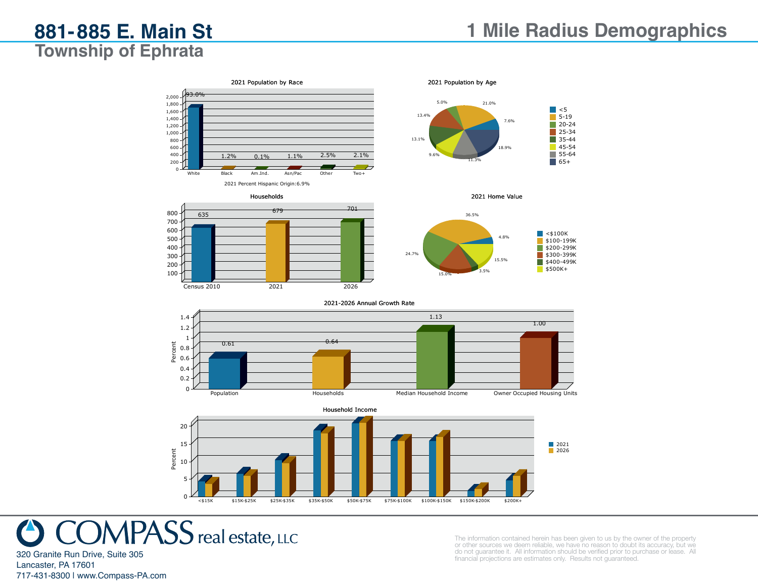



Households <sup>635</sup> <sup>679</sup> <sup>701</sup>

Census 2010 2021 2026





#### 2021-2026 Annual Growth Rate







320 Granite Run Drive, Suite 305 Lancaster, PA 17601 717-431-8300 | www.Compass-PA.com The information contained herein has been given to us by the owner of the property or other sources we deem reliable, we have no reason to doubt its accuracy, but we do not guarantee it. All information should be verified prior to purchase or lease. All financial projections are estimates only. Results not guaranteed.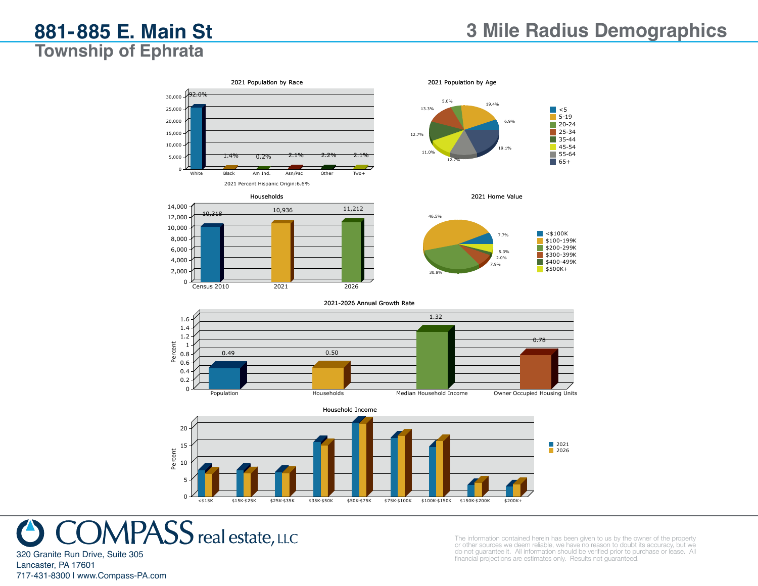

0 <del>× 15K \$15K-\$25K</del> \$25K-\$35K \$35K-\$50K \$50K-\$75K \$75K-\$100K \$100K-\$150K \$200K+ \$200K+<br>- 150K-\$200K \$200K+ \$25K-\$35K \$35K-\$50K \$50K-\$75K \$75K-\$100K \$100K-\$150K \$200K \$200K+

 $MPASS$  real estate, LLC

The information contained herein has been given to us by the owner of the property or other sources we deem reliable, we have no reason to doubt its accuracy, but we do not guarantee it. All information should be verified prior to purchase or lease. All financial projections are estimates only. Results not guaranteed.

Lancaster, PA 17601 717-431-8300 | www.Compass-PA.com

320 Granite Run Drive, Suite 305